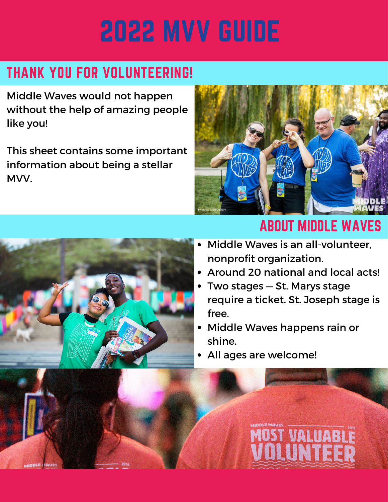# 2022 MVV GUIDE

#### THANK YOU FOR VOLUNTEERING!

Middle Waves would not happen without the help of amazing people like you!

This sheet contains some important information about being a stellar MVV.



#### ABOUT MIDDLE WAVES

- Middle Waves is an all-volunteer, nonprofit organization.
- Around 20 national and local acts!
- Two stages St. Marys stage require a ticket. St. Joseph stage is free.

**MOST VALUA** 

UNI

- Middle Waves happens rain or shine.
- All ages are welcome!